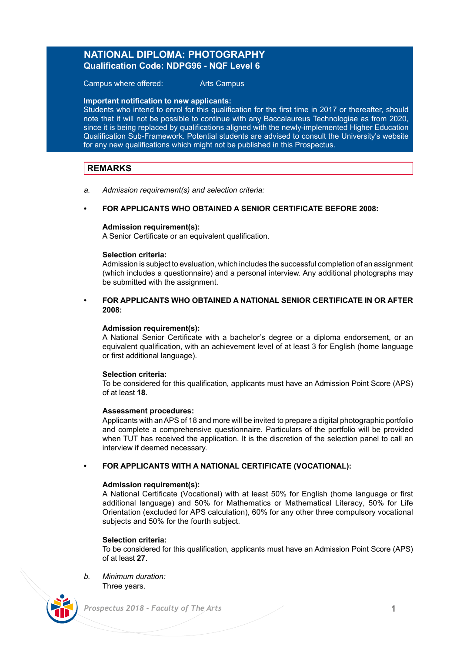# **NATIONAL DIPLOMA: PHOTOGRAPHY Qualification Code: NDPG96 - NQF Level 6**

Campus where offered: Arts Campus

#### **Important notification to new applicants:**

Students who intend to enrol for this qualification for the first time in 2017 or thereafter, should note that it will not be possible to continue with any Baccalaureus Technologiae as from 2020, since it is being replaced by qualifications aligned with the newly-implemented Higher Education Qualification Sub-Framework. Potential students are advised to consult the University's website for any new qualifications which might not be published in this Prospectus.

## **REMARKS**

*a. Admission requirement(s) and selection criteria:*

## **• FOR APPLICANTS WHO OBTAINED A SENIOR CERTIFICATE BEFORE 2008:**

### **Admission requirement(s):**

A Senior Certificate or an equivalent qualification.

### **Selection criteria:**

Admission is subject to evaluation, which includes the successful completion of an assignment (which includes a questionnaire) and a personal interview. Any additional photographs may be submitted with the assignment.

### **• FOR APPLICANTS WHO OBTAINED A NATIONAL SENIOR CERTIFICATE IN OR AFTER 2008:**

#### **Admission requirement(s):**

A National Senior Certificate with a bachelor's degree or a diploma endorsement, or an equivalent qualification, with an achievement level of at least 3 for English (home language or first additional language).

### **Selection criteria:**

To be considered for this qualification, applicants must have an Admission Point Score (APS) of at least **18**.

#### **Assessment procedures:**

Applicants with an APS of 18 and more will be invited to prepare a digital photographic portfolio and complete a comprehensive questionnaire. Particulars of the portfolio will be provided when TUT has received the application. It is the discretion of the selection panel to call an interview if deemed necessary.

### **• FOR APPLICANTS WITH A NATIONAL CERTIFICATE (VOCATIONAL):**

#### **Admission requirement(s):**

A National Certificate (Vocational) with at least 50% for English (home language or first additional language) and 50% for Mathematics or Mathematical Literacy, 50% for Life Orientation (excluded for APS calculation), 60% for any other three compulsory vocational subjects and 50% for the fourth subject.

### **Selection criteria:**

To be considered for this qualification, applicants must have an Admission Point Score (APS) of at least **27**.

*b. Minimum duration:* Three years.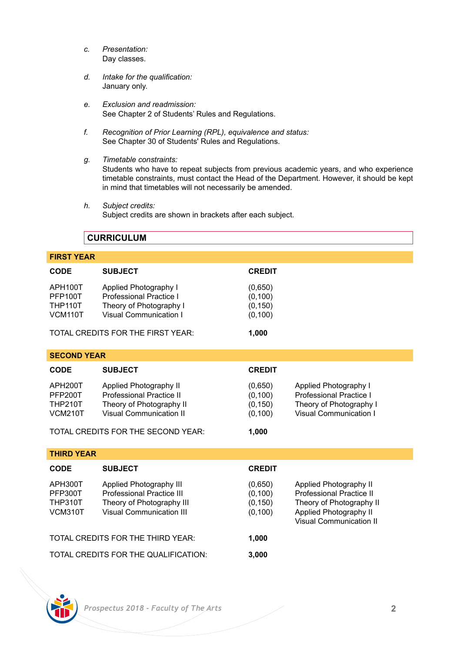- *c. Presentation:* Day classes.
- *d. Intake for the qualification:* January only.
- *e. Exclusion and readmission:* See Chapter 2 of Students' Rules and Regulations.
- *f. Recognition of Prior Learning (RPL), equivalence and status:* See Chapter 30 of Students' Rules and Regulations.
- *g. Timetable constraints:* Students who have to repeat subjects from previous academic years, and who experience timetable constraints, must contact the Head of the Department. However, it should be kept in mind that timetables will not necessarily be amended.
- *h. Subject credits:* Subject credits are shown in brackets after each subject.

## **CURRICULUM**

## **FIRST YEAR**

| CODE                                                          | <b>SUBJECT</b>                                                                                                       | <b>CREDIT</b>                               |                                                                                                                                     |
|---------------------------------------------------------------|----------------------------------------------------------------------------------------------------------------------|---------------------------------------------|-------------------------------------------------------------------------------------------------------------------------------------|
| APH100T<br><b>PFP100T</b><br><b>THP110T</b><br><b>VCM110T</b> | Applied Photography I<br>Professional Practice I<br>Theory of Photography I<br>Visual Communication I                | (0,650)<br>(0, 100)<br>(0, 150)<br>(0, 100) |                                                                                                                                     |
|                                                               | TOTAL CREDITS FOR THE FIRST YEAR:                                                                                    | 1,000                                       |                                                                                                                                     |
| <b>SECOND YEAR</b>                                            |                                                                                                                      |                                             |                                                                                                                                     |
| <b>CODE</b>                                                   | <b>SUBJECT</b>                                                                                                       | <b>CREDIT</b>                               |                                                                                                                                     |
| APH200T<br>PFP200T<br><b>THP210T</b><br><b>VCM210T</b>        | Applied Photography II<br>Professional Practice II<br>Theory of Photography II<br>Visual Communication II            | (0,650)<br>(0, 100)<br>(0, 150)<br>(0, 100) | Applied Photography I<br>Professional Practice I<br>Theory of Photography I<br>Visual Communication I                               |
| TOTAL CREDITS FOR THE SECOND YEAR:<br>1,000                   |                                                                                                                      |                                             |                                                                                                                                     |
| <b>THIRD YEAR</b>                                             |                                                                                                                      |                                             |                                                                                                                                     |
| <b>CODE</b>                                                   | <b>SUBJECT</b>                                                                                                       | <b>CREDIT</b>                               |                                                                                                                                     |
| APH300T<br><b>PFP300T</b><br><b>THP310T</b><br>VCM310T        | Applied Photography III<br>Professional Practice III<br>Theory of Photography III<br><b>Visual Communication III</b> | (0,650)<br>(0, 100)<br>(0, 150)<br>(0, 100) | Applied Photography II<br>Professional Practice II<br>Theory of Photography II<br>Applied Photography II<br>Visual Communication II |
| TOTAL CREDITS FOR THE THIRD YEAR:                             |                                                                                                                      | 1,000                                       |                                                                                                                                     |
| TOTAL CREDITS FOR THE QUALIFICATION:                          |                                                                                                                      | 3,000                                       |                                                                                                                                     |

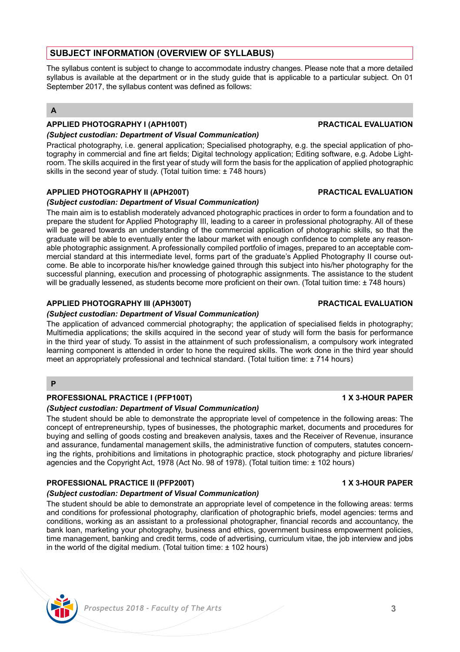# **SUBJECT INFORMATION (OVERVIEW OF SYLLABUS)**

The syllabus content is subject to change to accommodate industry changes. Please note that a more detailed syllabus is available at the department or in the study guide that is applicable to a particular subject. On 01 September 2017, the syllabus content was defined as follows:

## **A**

# **APPLIED PHOTOGRAPHY I (APH100T) PRACTICAL EVALUATION**

## *(Subject custodian: Department of Visual Communication)*

Practical photography, i.e. general application; Specialised photography, e.g. the special application of photography in commercial and fine art fields; Digital technology application; Editing software, e.g. Adobe Lightroom. The skills acquired in the first year of study will form the basis for the application of applied photographic skills in the second year of study. (Total tuition time: ± 748 hours)

## **APPLIED PHOTOGRAPHY II (APH200T) PRACTICAL EVALUATION**

## *(Subject custodian: Department of Visual Communication)*

The main aim is to establish moderately advanced photographic practices in order to form a foundation and to prepare the student for Applied Photography III, leading to a career in professional photography. All of these will be geared towards an understanding of the commercial application of photographic skills, so that the graduate will be able to eventually enter the labour market with enough confidence to complete any reasonable photographic assignment. A professionally compiled portfolio of images, prepared to an acceptable commercial standard at this intermediate level, forms part of the graduate's Applied Photography II course outcome. Be able to incorporate his/her knowledge gained through this subject into his/her photography for the successful planning, execution and processing of photographic assignments. The assistance to the student will be gradually lessened, as students become more proficient on their own. (Total tuition time: ± 748 hours)

## **APPLIED PHOTOGRAPHY III (APH300T) PRACTICAL EVALUATION**

## *(Subject custodian: Department of Visual Communication)*

The application of advanced commercial photography; the application of specialised fields in photography; Multimedia applications; the skills acquired in the second year of study will form the basis for performance in the third year of study. To assist in the attainment of such professionalism, a compulsory work integrated learning component is attended in order to hone the required skills. The work done in the third year should meet an appropriately professional and technical standard. (Total tuition time: ± 714 hours)

**P**

### **PROFESSIONAL PRACTICE I (PFP100T) 1 X 3-HOUR PAPER**

### *(Subject custodian: Department of Visual Communication)*

The student should be able to demonstrate the appropriate level of competence in the following areas: The concept of entrepreneurship, types of businesses, the photographic market, documents and procedures for buying and selling of goods costing and breakeven analysis, taxes and the Receiver of Revenue, insurance and assurance, fundamental management skills, the administrative function of computers, statutes concerning the rights, prohibitions and limitations in photographic practice, stock photography and picture libraries/ agencies and the Copyright Act, 1978 (Act No. 98 of 1978). (Total tuition time: ± 102 hours)

### **PROFESSIONAL PRACTICE II (PFP200T) 1 X 3-HOUR PAPER**

## *(Subject custodian: Department of Visual Communication)*

The student should be able to demonstrate an appropriate level of competence in the following areas: terms and conditions for professional photography, clarification of photographic briefs, model agencies: terms and conditions, working as an assistant to a professional photographer, financial records and accountancy, the bank loan, marketing your photography, business and ethics, government business empowerment policies, time management, banking and credit terms, code of advertising, curriculum vitae, the job interview and jobs in the world of the digital medium. (Total tuition time: ± 102 hours)

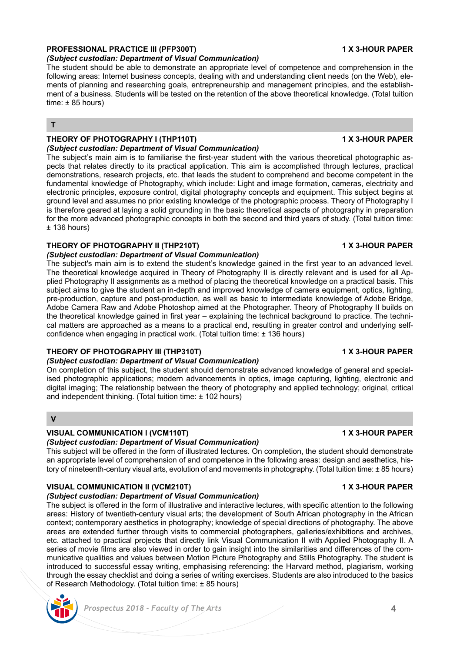# **PROFESSIONAL PRACTICE III (PFP300T) 1 X 3-HOUR PAPER**

*(Subject custodian: Department of Visual Communication)*

The student should be able to demonstrate an appropriate level of competence and comprehension in the following areas: Internet business concepts, dealing with and understanding client needs (on the Web), elements of planning and researching goals, entrepreneurship and management principles, and the establishment of a business. Students will be tested on the retention of the above theoretical knowledge. (Total tuition  $time: +85 hours$ 

**T**

#### **THEORY OF PHOTOGRAPHY I (THP110T) 1 X 3-HOUR PAPER** *(Subject custodian: Department of Visual Communication)*

The subject's main aim is to familiarise the first-year student with the various theoretical photographic aspects that relates directly to its practical application. This aim is accomplished through lectures, practical demonstrations, research projects, etc. that leads the student to comprehend and become competent in the fundamental knowledge of Photography, which include: Light and image formation, cameras, electricity and electronic principles, exposure control, digital photography concepts and equipment. This subject begins at ground level and assumes no prior existing knowledge of the photographic process. Theory of Photography I is therefore geared at laying a solid grounding in the basic theoretical aspects of photography in preparation for the more advanced photographic concepts in both the second and third years of study. (Total tuition time:  $± 136$  hours)

# **THEORY OF PHOTOGRAPHY II (THP210T) 1 X 3-HOUR PAPER**

# *(Subject custodian: Department of Visual Communication)*

The subject's main aim is to extend the student's knowledge gained in the first year to an advanced level. The theoretical knowledge acquired in Theory of Photography II is directly relevant and is used for all Applied Photography II assignments as a method of placing the theoretical knowledge on a practical basis. This subject aims to give the student an in-depth and improved knowledge of camera equipment, optics, lighting, pre-production, capture and post-production, as well as basic to intermediate knowledge of Adobe Bridge, Adobe Camera Raw and Adobe Photoshop aimed at the Photographer. Theory of Photography II builds on the theoretical knowledge gained in first year – explaining the technical background to practice. The technical matters are approached as a means to a practical end, resulting in greater control and underlying selfconfidence when engaging in practical work. (Total tuition time: ± 136 hours)

# **THEORY OF PHOTOGRAPHY III (THP310T) 1 X 3-HOUR PAPER**

## *(Subject custodian: Department of Visual Communication)*

On completion of this subject, the student should demonstrate advanced knowledge of general and specialised photographic applications; modern advancements in optics, image capturing, lighting, electronic and digital imaging; The relationship between the theory of photography and applied technology; original, critical and independent thinking. (Total tuition time: ± 102 hours)

## **V**

# **VISUAL COMMUNICATION I (VCM110T) 1 X 3-HOUR PAPER**

# *(Subject custodian: Department of Visual Communication)*

This subject will be offered in the form of illustrated lectures. On completion, the student should demonstrate an appropriate level of comprehension of and competence in the following areas: design and aesthetics, history of nineteenth-century visual arts, evolution of and movements in photography. (Total tuition time: ± 85 hours)

# **VISUAL COMMUNICATION II (VCM210T) 1 X 3-HOUR PAPER**

# *(Subject custodian: Department of Visual Communication)*

The subject is offered in the form of illustrative and interactive lectures, with specific attention to the following areas: History of twentieth-century visual arts; the development of South African photography in the African context; contemporary aesthetics in photography; knowledge of special directions of photography. The above areas are extended further through visits to commercial photographers, galleries/exhibitions and archives, etc. attached to practical projects that directly link Visual Communication II with Applied Photography II. A series of movie films are also viewed in order to gain insight into the similarities and differences of the communicative qualities and values between Motion Picture Photography and Stills Photography. The student is introduced to successful essay writing, emphasising referencing: the Harvard method, plagiarism, working through the essay checklist and doing a series of writing exercises. Students are also introduced to the basics of Research Methodology. (Total tuition time: ± 85 hours)